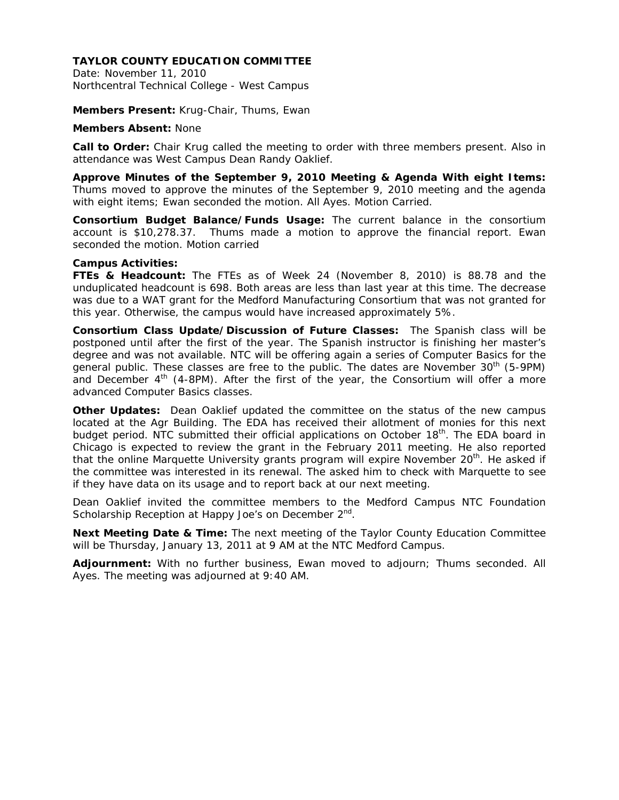Date: November 11, 2010 Northcentral Technical College - West Campus

**Members Present:** Krug-Chair, Thums, Ewan

**Members Absent:** None

**Call to Order:** Chair Krug called the meeting to order with three members present. Also in attendance was West Campus Dean Randy Oaklief.

**Approve Minutes of the September 9, 2010 Meeting & Agenda With eight Items:**  Thums moved to approve the minutes of the September 9, 2010 meeting and the agenda with eight items; Ewan seconded the motion. All Ayes. Motion Carried.

**Consortium Budget Balance/Funds Usage:** The current balance in the consortium account is \$10,278.37. Thums made a motion to approve the financial report. Ewan seconded the motion. Motion carried

### **Campus Activities:**

**FTEs & Headcount:** The FTEs as of Week 24 (November 8, 2010) is 88.78 and the unduplicated headcount is 698. Both areas are less than last year at this time. The decrease was due to a WAT grant for the Medford Manufacturing Consortium that was not granted for this year. Otherwise, the campus would have increased approximately 5%.

**Consortium Class Update/Discussion of Future Classes:** The Spanish class will be postponed until after the first of the year. The Spanish instructor is finishing her master's degree and was not available. NTC will be offering again a series of Computer Basics for the general public. These classes are free to the public. The dates are November  $30<sup>th</sup>$  (5-9PM) and December  $4<sup>th</sup>$  (4-8PM). After the first of the year, the Consortium will offer a more advanced Computer Basics classes.

**Other Updates:** Dean Oaklief updated the committee on the status of the new campus located at the Agr Building. The EDA has received their allotment of monies for this next budget period. NTC submitted their official applications on October  $18<sup>th</sup>$ . The EDA board in Chicago is expected to review the grant in the February 2011 meeting. He also reported that the online Marquette University grants program will expire November  $20<sup>th</sup>$ . He asked if the committee was interested in its renewal. The asked him to check with Marquette to see if they have data on its usage and to report back at our next meeting.

Dean Oaklief invited the committee members to the Medford Campus NTC Foundation Scholarship Reception at Happy Joe's on December 2<sup>nd</sup>.

**Next Meeting Date & Time:** The next meeting of the Taylor County Education Committee will be Thursday, January 13, 2011 at 9 AM at the NTC Medford Campus.

**Adjournment:** With no further business, Ewan moved to adjourn; Thums seconded. All Ayes. The meeting was adjourned at 9:40 AM.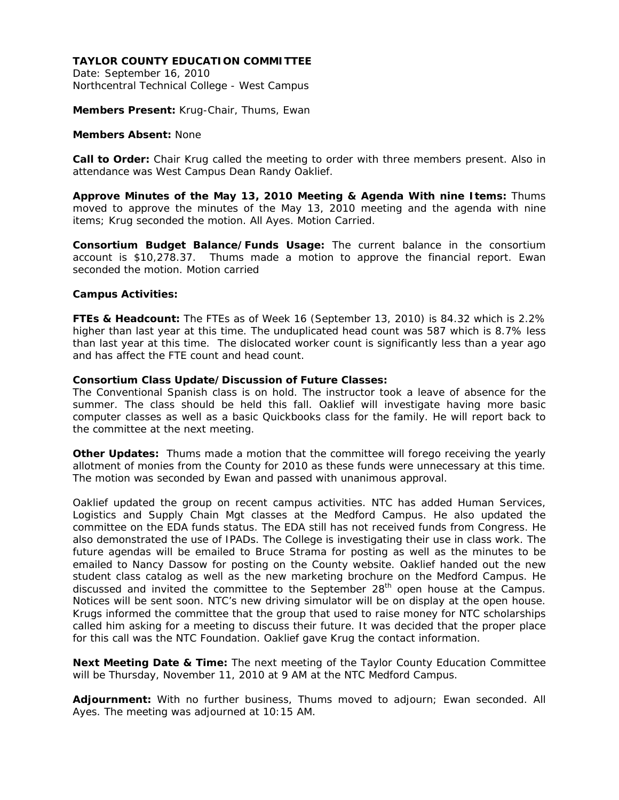Date: September 16, 2010 Northcentral Technical College - West Campus

**Members Present:** Krug-Chair, Thums, Ewan

#### **Members Absent:** None

**Call to Order:** Chair Krug called the meeting to order with three members present. Also in attendance was West Campus Dean Randy Oaklief.

**Approve Minutes of the May 13, 2010 Meeting & Agenda With nine Items:** Thums moved to approve the minutes of the May 13, 2010 meeting and the agenda with nine items; Krug seconded the motion. All Ayes. Motion Carried.

**Consortium Budget Balance/Funds Usage:** The current balance in the consortium account is \$10,278.37. Thums made a motion to approve the financial report. Ewan seconded the motion. Motion carried

### **Campus Activities:**

**FTEs & Headcount:** The FTEs as of Week 16 (September 13, 2010) is 84.32 which is 2.2% higher than last year at this time. The unduplicated head count was 587 which is 8.7% less than last year at this time. The dislocated worker count is significantly less than a year ago and has affect the FTE count and head count.

### **Consortium Class Update/Discussion of Future Classes:**

The Conventional Spanish class is on hold. The instructor took a leave of absence for the summer. The class should be held this fall. Oaklief will investigate having more basic computer classes as well as a basic Quickbooks class for the family. He will report back to the committee at the next meeting.

**Other Updates:** Thums made a motion that the committee will forego receiving the yearly allotment of monies from the County for 2010 as these funds were unnecessary at this time. The motion was seconded by Ewan and passed with unanimous approval.

Oaklief updated the group on recent campus activities. NTC has added Human Services, Logistics and Supply Chain Mgt classes at the Medford Campus. He also updated the committee on the EDA funds status. The EDA still has not received funds from Congress. He also demonstrated the use of IPADs. The College is investigating their use in class work. The future agendas will be emailed to Bruce Strama for posting as well as the minutes to be emailed to Nancy Dassow for posting on the County website. Oaklief handed out the new student class catalog as well as the new marketing brochure on the Medford Campus. He discussed and invited the committee to the September  $28<sup>th</sup>$  open house at the Campus. Notices will be sent soon. NTC's new driving simulator will be on display at the open house. Krugs informed the committee that the group that used to raise money for NTC scholarships called him asking for a meeting to discuss their future. It was decided that the proper place for this call was the NTC Foundation. Oaklief gave Krug the contact information.

**Next Meeting Date & Time:** The next meeting of the Taylor County Education Committee will be Thursday, November 11, 2010 at 9 AM at the NTC Medford Campus.

**Adjournment:** With no further business, Thums moved to adjourn; Ewan seconded. All Ayes. The meeting was adjourned at 10:15 AM.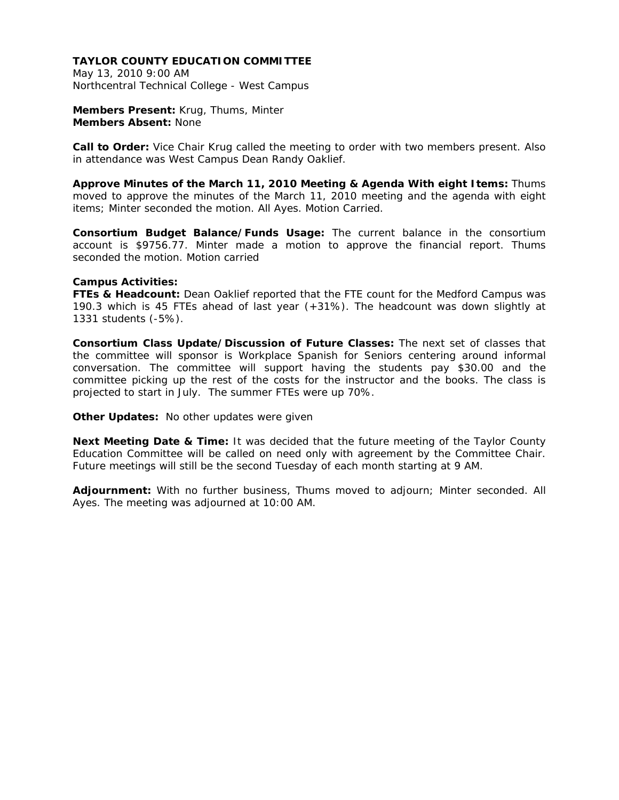May 13, 2010 9:00 AM Northcentral Technical College - West Campus

**Members Present:** Krug, Thums, Minter **Members Absent:** None

**Call to Order:** Vice Chair Krug called the meeting to order with two members present. Also in attendance was West Campus Dean Randy Oaklief.

**Approve Minutes of the March 11, 2010 Meeting & Agenda With eight Items:** Thums moved to approve the minutes of the March 11, 2010 meeting and the agenda with eight items; Minter seconded the motion. All Ayes. Motion Carried.

**Consortium Budget Balance/Funds Usage:** The current balance in the consortium account is \$9756.77. Minter made a motion to approve the financial report. Thums seconded the motion. Motion carried

### **Campus Activities:**

FTEs & Headcount: Dean Oaklief reported that the FTE count for the Medford Campus was 190.3 which is 45 FTEs ahead of last year (+31%). The headcount was down slightly at 1331 students (-5%).

**Consortium Class Update/Discussion of Future Classes:** The next set of classes that the committee will sponsor is Workplace Spanish for Seniors centering around informal conversation. The committee will support having the students pay \$30.00 and the committee picking up the rest of the costs for the instructor and the books. The class is projected to start in July. The summer FTEs were up 70%.

**Other Updates:** No other updates were given

**Next Meeting Date & Time:** It was decided that the future meeting of the Taylor County Education Committee will be called on need only with agreement by the Committee Chair. Future meetings will still be the second Tuesday of each month starting at 9 AM.

**Adjournment:** With no further business, Thums moved to adjourn; Minter seconded. All Ayes. The meeting was adjourned at 10:00 AM.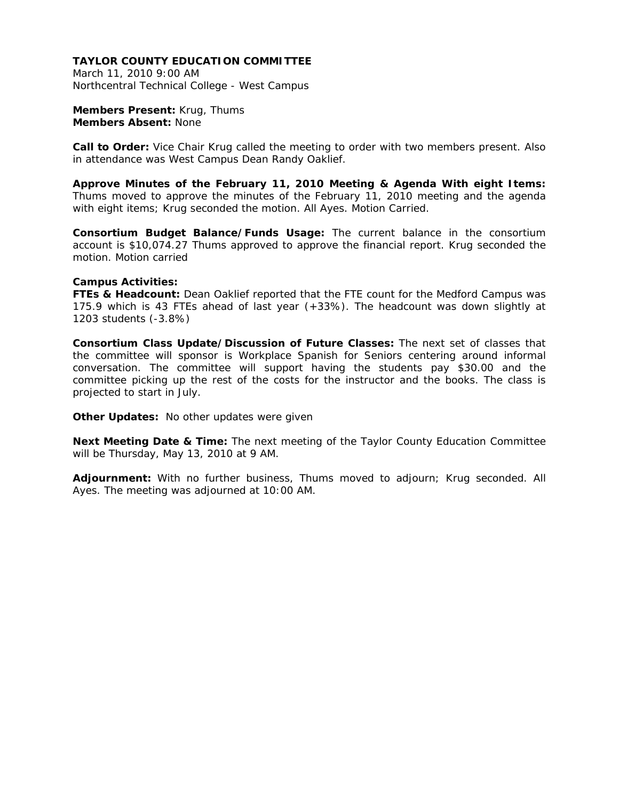March 11, 2010 9:00 AM Northcentral Technical College - West Campus

**Members Present:** Krug, Thums **Members Absent:** None

**Call to Order:** Vice Chair Krug called the meeting to order with two members present. Also in attendance was West Campus Dean Randy Oaklief.

**Approve Minutes of the February 11, 2010 Meeting & Agenda With eight Items:**  Thums moved to approve the minutes of the February 11, 2010 meeting and the agenda with eight items; Krug seconded the motion. All Ayes. Motion Carried.

**Consortium Budget Balance/Funds Usage:** The current balance in the consortium account is \$10,074.27 Thums approved to approve the financial report. Krug seconded the motion. Motion carried

#### **Campus Activities:**

FTEs & Headcount: Dean Oaklief reported that the FTE count for the Medford Campus was 175.9 which is 43 FTEs ahead of last year (+33%). The headcount was down slightly at 1203 students (-3.8%)

**Consortium Class Update/Discussion of Future Classes:** The next set of classes that the committee will sponsor is Workplace Spanish for Seniors centering around informal conversation. The committee will support having the students pay \$30.00 and the committee picking up the rest of the costs for the instructor and the books. The class is projected to start in July.

**Other Updates:** No other updates were given

**Next Meeting Date & Time:** The next meeting of the Taylor County Education Committee will be Thursday, May 13, 2010 at 9 AM.

**Adjournment:** With no further business, Thums moved to adjourn; Krug seconded. All Ayes. The meeting was adjourned at 10:00 AM.